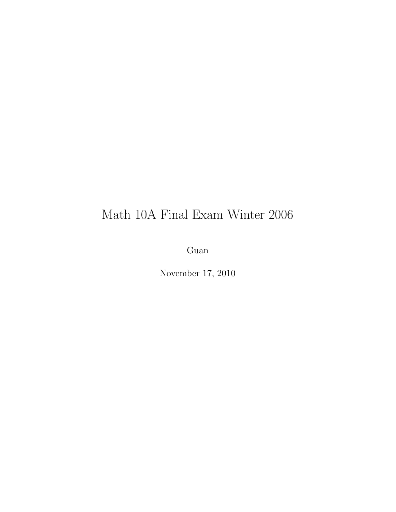## Math 10A Final Exam Winter 2006

Guan

November 17, 2010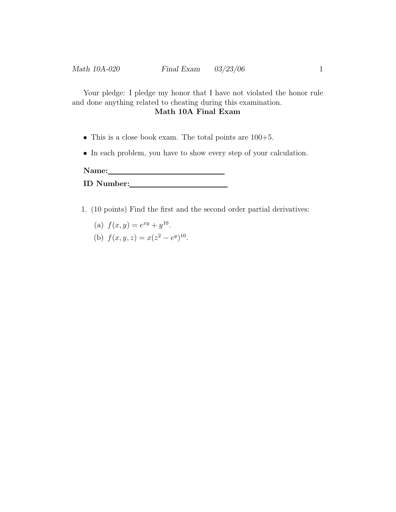Your pledge: I pledge my honor that I have not violated the honor rule and done anything related to cheating during this examination.

## Math 10A Final Exam

- This is a close book exam. The total points are 100+5.
- In each problem, you have to show every step of your calculation.

Name:

- 1. (10 points) Find the first and the second order partial derivatives:
	- (a)  $f(x, y) = e^{xy} + y^{10}$ .
	- (b)  $f(x, y, z) = x(z^2 e^y)^{10}$ .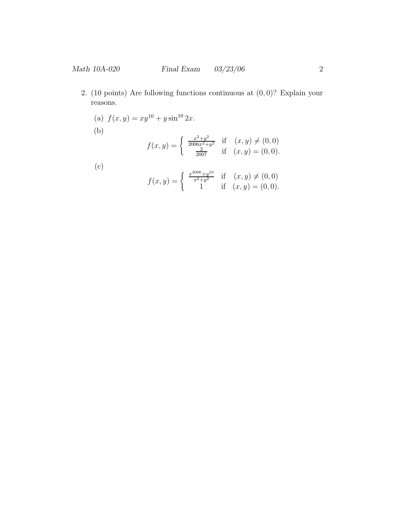- 2. (10 points) Are following functions continuous at  $(0,0)$ ? Explain your reasons.
	- (a)  $f(x, y) = xy^{10} + y \sin^{10} 2x$ . (b)  $f(x, y) =$  $\int \frac{x^2+y^2}{2}$  $\frac{x^2+y^2}{2006x^2+y^2}$  if  $(x, y) \neq (0, 0)$  $\frac{2}{2007}$  if  $(x, y) = (0, 0)$ . (c)  $f(x, y) =$  $\int \frac{x^{2006}+y^{10}}{x^2}$  $\frac{x^{300}+y^{10}}{x^2+y^2}$  if  $(x, y) \neq (0, 0)$ 1 if  $(x, y) = (0, 0)$ .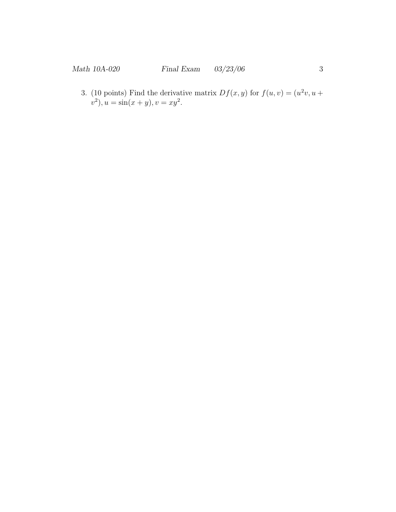3. (10 points) Find the derivative matrix  $Df(x, y)$  for  $f(u, v) = (u^2v, u +$  $v^2$ ,  $u = \sin(x + y)$ ,  $v = xy^2$ .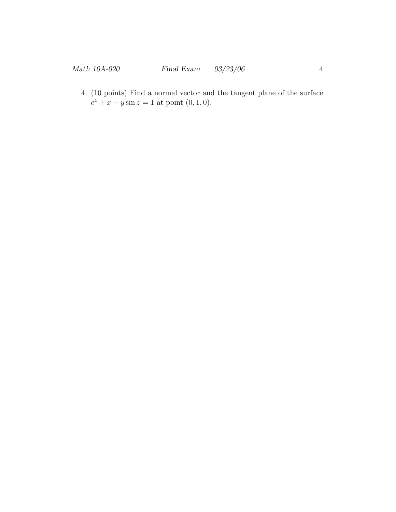4. (10 points) Find a normal vector and the tangent plane of the surface  $e^z + x - y \sin z = 1$  at point  $(0, 1, 0)$ .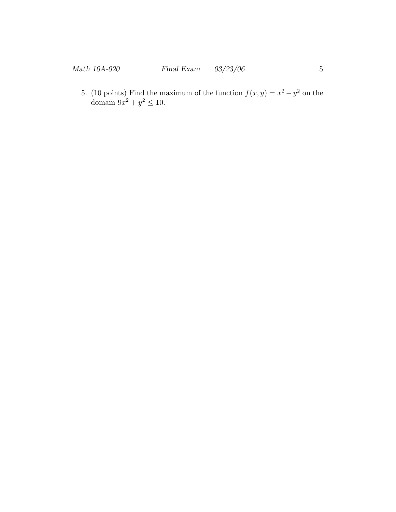5. (10 points) Find the maximum of the function  $f(x, y) = x^2 - y^2$  on the domain  $9x^2 + y^2 \le 10$ .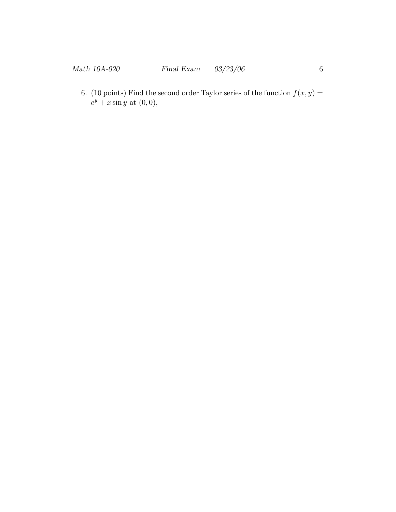6. (10 points) Find the second order Taylor series of the function  $f(x, y) =$  $e^y + x \sin y$  at  $(0,0),$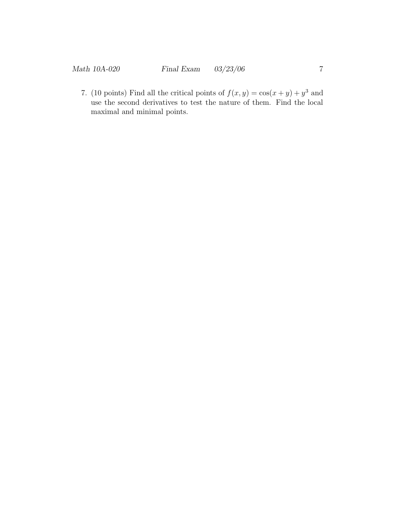7. (10 points) Find all the critical points of  $f(x, y) = cos(x + y) + y^3$  and use the second derivatives to test the nature of them. Find the local maximal and minimal points.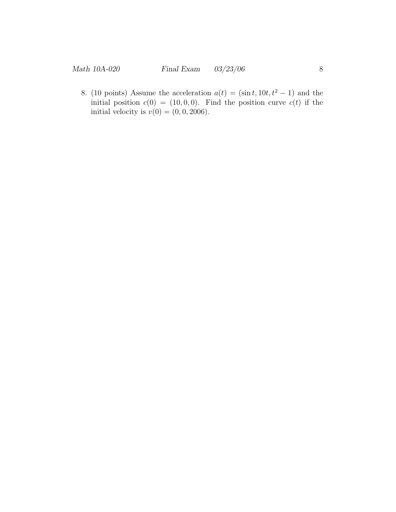8. (10 points) Assume the acceleration  $a(t) = (\sin t, 10t, t^2 - 1)$  and the initial position  $c(0) = (10, 0, 0)$ . Find the position curve  $c(t)$  if the initial velocity is  $v(0) = (0, 0, 2006)$ .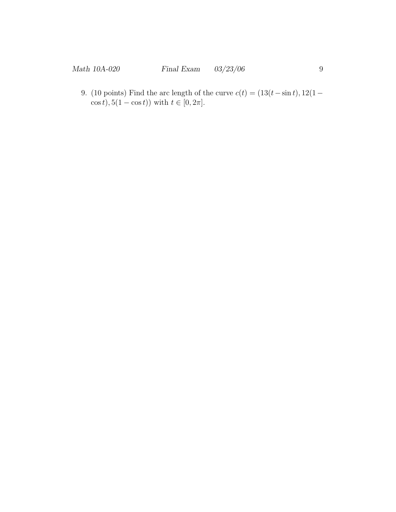9. (10 points) Find the arc length of the curve  $c(t) = (13(t-\sin t), 12(1-\cos t))$  $(\cos t), 5(1 - \cos t))$  with  $t \in [0, 2\pi]$ .